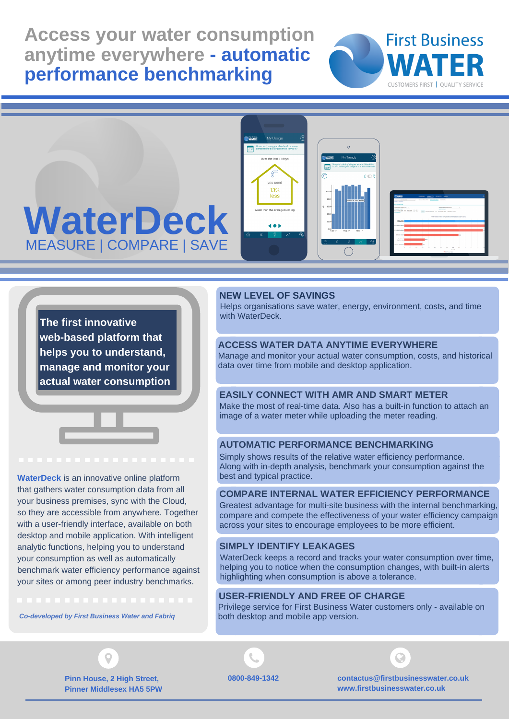**Access your water consumption anytime everywhere - automatic performance benchmarking**





**The first innovative web-based platform that helps you to understand, manage and monitor your**

**actual water consumption**

**WaterDeck** is an innovative online platform that gathers water consumption data from all your business premises, sync with the Cloud, so they are accessible from anywhere. Together with a user-friendly interface, available on both desktop and mobile application. With intelligent analytic functions, helping you to understand your consumption as well as automatically benchmark water efficiency performance against your sites or among peer industry benchmarks.

*[Co-developed](https://firstbusinesswater.co.uk/contact-us/) by First Business Water and Fabriq*

## **NEW LEVEL OF SAVINGS**

Helps organisations save water, energy, environment, costs, and time with WaterDeck.

## **ACCESS WATER DATA ANYTIME EVERYWHERE**

Manage and monitor your actual water consumption, costs, and historical data over time from mobile and desktop application.

## **EASILY CONNECT WITH AMR AND SMART METER**

Make the most of real-time data. Also has a built-in function to attach an image of a water meter while uploading the meter reading.

# **AUTOMATIC PERFORMANCE BENCHMARKING**

Simply shows results of the relative water efficiency performance. Along with in-depth analysis, benchmark your consumption against the best and typical practice.

## **COMPARE INTERNAL WATER EFFICIENCY PERFORMANCE**

Greatest advantage for multi-site business with the internal benchmarking, compare and compete the effectiveness of your water efficiency campaign across your sites to encourage employees to be more efficient.

# **SIMPLY IDENTIFY LEAKAGES**

WaterDeck keeps a record and tracks your water consumption over time, helping you to notice when the consumption changes, with built-in alerts highlighting when consumption is above a tolerance.

# **USER-FRIENDLY AND FREE OF CHARGE**

Privilege service for First Business Water customers only - available on both desktop and mobile app version.





**[contactus@firstbusinesswater.co.uk](https://firstbusinesswater.co.uk/contact-us/) www.firstbusinesswater.co.uk**